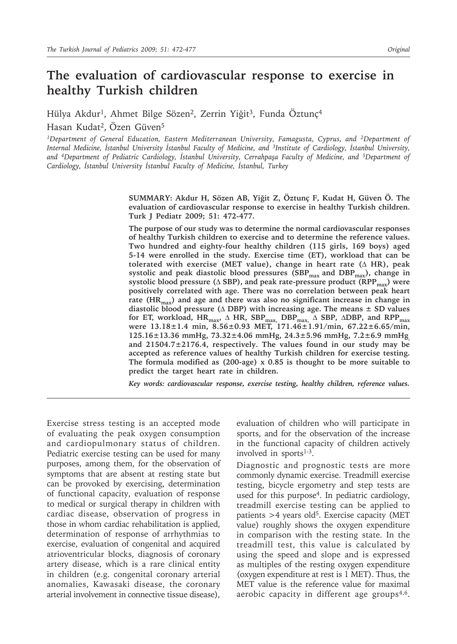# **The evaluation of cardiovascular response to exercise in healthy Turkish children**

Hülya Akdur<sup>1</sup>, Ahmet Bilge Sözen<sup>2</sup>, Zerrin Yiğit<sup>3</sup>, Funda Öztunç<sup>4</sup> Hasan Kudat<sup>2</sup>, Özen Güven<sup>5</sup>

*1Department of General Education, Eastern Mediterranean University, Famagusta, Cyprus, and 2Department of Internal Medicine, İstanbul University İstanbul Faculty of Medicine, and 3Institute of Cardiology, İstanbul University, and 4Department of Pediatric Cardiology, İstanbul University, Cerrahpaşa Faculty of Medicine, and 5Department of Cardiology, İstanbul University İstanbul Faculty of Medicine, İstanbul, Turkey*

> **SUMMARY: Akdur H, Sözen AB, Yiğit Z, Öztunç F, Kudat H, Güven Ö. The evaluation of cardiovascular response to exercise in healthy Turkish children. Turk J Pediatr 2009; 51: 472-477.**

> **The purpose of our study was to determine the normal cardiovascular responses of healthy Turkish children to exercise and to determine the reference values. Two hundred and eighty-four healthy children (115 girls, 169 boys) aged 5-14 were enrolled in the study. Exercise time (ET), workload that can be tolerated with exercise (MET value), change in heart rate (**∆ **HR), peak**  systolic and peak diastolic blood pressures (SBP<sub>max</sub> and DBP<sub>max</sub>), change in systolic blood pressure ( $\triangle$  SBP), and peak rate-pressure product (RPP<sub>max</sub>) were **positively correlated with age. There was no correlation between peak heart**  rate (HR<sub>max</sub>) and age and there was also no significant increase in change in **diastolic blood pressure (**∆ **DBP) with increasing age. The means ± SD values**  for ET, workload, HR<sub>max</sub>, ∆ **HR, SBP<sub>max,</sub> DBP<sub>max</sub>**, ∆ SBP, ∆DBP, and RPP<sub>max</sub> **were 13.18±1.4 min, 8.56±0.93 MET, 171.46±1.91/min, 67.22±6.65/min, 125.16±13.36 mmHg, 73.32±4.06 mmHg, 24.3±5.96 mmHg, 7.2±6.9 mmHg, and 21504.7±2176.4, respectively. The values found in our study may be accepted as reference values of healthy Turkish children for exercise testing. The formula modified as (200-age) x 0.85 is thought to be more suitable to predict the target heart rate in children.**

> *Key words: cardiovascular response, exercise testing, healthy children, reference values.*

Exercise stress testing is an accepted mode of evaluating the peak oxygen consumption and cardiopulmonary status of children. Pediatric exercise testing can be used for many purposes, among them, for the observation of symptoms that are absent at resting state but can be provoked by exercising, determination of functional capacity, evaluation of response to medical or surgical therapy in children with cardiac disease, observation of progress in those in whom cardiac rehabilitation is applied, determination of response of arrhythmias to exercise, evaluation of congenital and acquired atrioventricular blocks, diagnosis of coronary artery disease, which is a rare clinical entity in children (e.g. congenital coronary arterial anomalies, Kawasaki disease, the coronary arterial involvement in connective tissue disease),

evaluation of children who will participate in sports, and for the observation of the increase in the functional capacity of children actively involved in sports<sup>1-3</sup>.

Diagnostic and prognostic tests are more commonly dynamic exercise. Treadmill exercise testing, bicycle ergometry and step tests are used for this purpose<sup>4</sup>. In pediatric cardiology, treadmill exercise testing can be applied to patients  $>4$  years old<sup>5</sup>. Exercise capacity (MET value) roughly shows the oxygen expenditure in comparison with the resting state. In the treadmill test, this value is calculated by using the speed and slope and is expressed as multiples of the resting oxygen expenditure (oxygen expenditure at rest is 1 MET). Thus, the MET value is the reference value for maximal aerobic capacity in different age groups $4.6$ .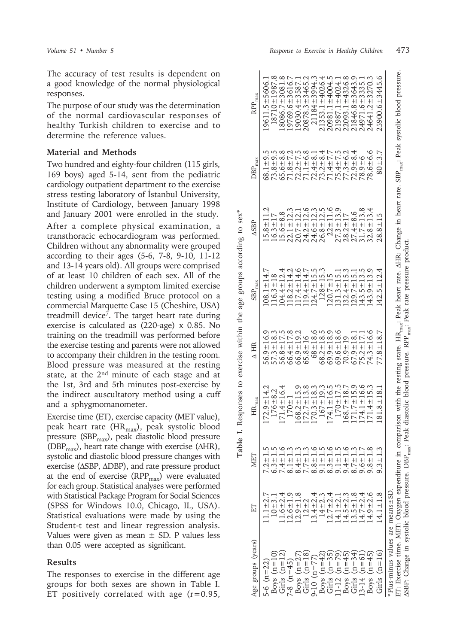The accuracy of test results is dependent on a good knowledge of the normal physiological responses.

The purpose of our study was the determination of the normal cardiovascular responses of healthy Turkish children to exercise and to determine the reference values.

# **Material and Methods**

Two hundred and eighty-four children (115 girls, 169 boys) aged 5-14, sent from the pediatric cardiology outpatient department to the exercise stress testing laboratory of İstanbul University, Institute of Cardiology, between January 1998 and January 2001 were enrolled in the study.

After a complete physical examination, a transthoracic echocardiogram was performed. Children without any abnormality were grouped according to their ages (5-6, 7-8, 9-10, 11-12 and 13-14 years old). All groups were comprised of at least 10 children of each sex. All of the children underwent a symptom limited exercise testing using a modified Bruce protocol on a commercial Marquette Case 15 (Cheshire, USA) treadmill device7. The target heart rate during exercise is calculated as (220-age) x 0.85. No training on the treadmill was performed before the exercise testing and parents were not allowed to accompany their children in the testing room. Blood pressure was measured at the resting state, at the 2<sup>nd</sup> minute of each stage and at the 1st, 3rd and 5th minutes post-exercise by the indirect auscultatory method using a cuff and a sphygmomanometer.

Exercise time (ET), exercise capacity (MET value), peak heart rate (HR<sub>max</sub>), peak systolic blood pressure (SBP $_{\text{max}}$ ), peak diastolic blood pressure (DBP<sub>max</sub>), heart rate change with exercise ( $\triangle$ HR), systolic and diastolic blood pressure changes with exercise (∆SBP, ∆DBP), and rate pressure product at the end of exercise  $(RPP<sub>max</sub>)$  were evaluated for each group. Statistical analyses were performed with Statistical Package Program for Social Sciences (SPSS for Windows 10.0, Chicago, IL, USA). Statistical evaluations were made by using the Student-t test and linear regression analysis. Values were given as mean  $\pm$  SD. P values less than 0.05 were accepted as significant.

### **Results**

The responses to exercise in the different age groups for both sexes are shown in Table I. ET positively correlated with age  $(r=0.95,$ 

| ET: Exercise time. MET: Oxygen expenditure in comparison with the resting state. HR <sub>max</sub> : Peak heart rate. AHR: Change in heart rate. SBP <sub>max</sub> : Peak systolic blood pressure. |                                                                                                                                                                                                                                                                               |                                                                                                                               |                                                                                                                                       |                                                                                               |                                                                            |                                                 |                | Plus-minus values are means ±SD                   |
|-----------------------------------------------------------------------------------------------------------------------------------------------------------------------------------------------------|-------------------------------------------------------------------------------------------------------------------------------------------------------------------------------------------------------------------------------------------------------------------------------|-------------------------------------------------------------------------------------------------------------------------------|---------------------------------------------------------------------------------------------------------------------------------------|-----------------------------------------------------------------------------------------------|----------------------------------------------------------------------------|-------------------------------------------------|----------------|---------------------------------------------------|
| 25900.6±3445.6                                                                                                                                                                                      | $80 + 3.7$                                                                                                                                                                                                                                                                    | $28.8 \pm 15$                                                                                                                 | $42.5 \pm 12.4$                                                                                                                       | $77.8 \pm 18.7$                                                                               | $81.8 \pm 18.1$                                                            | $9.3 +$                                         | $4.1 \pm 1.8$  | $(n=16)$<br>Girls                                 |
| 24641.2±3270.3                                                                                                                                                                                      | $78.6 \pm 6.6$                                                                                                                                                                                                                                                                | $32.8 \pm 13.4$                                                                                                               | $(43.9 \pm 13.9)$                                                                                                                     | $74.3 \pm 16.6$                                                                               | $71.4 \pm 15.3$                                                            | $9.8 + 1.8$                                     | $14.9 \pm 2.6$ | Boys $(n=45)$                                     |
| 24971.6±3335.1                                                                                                                                                                                      | $78.9 + 6$                                                                                                                                                                                                                                                                    | $31.7 \pm 13.8$                                                                                                               | $143.5 \pm 13.5$                                                                                                                      |                                                                                               | $174.1 \pm 16.6$                                                           | $9.6 + 1.7$                                     | $14.7 \pm 2.4$ | $(n=61)$<br>$-3-14$                               |
| $21846.8 \pm 3643.9$                                                                                                                                                                                |                                                                                                                                                                                                                                                                               | $27.4 + 8.6$                                                                                                                  | $129.7 \pm 15.1$                                                                                                                      |                                                                                               | $171.7 \pm 15.9$                                                           | $8.7 \pm 1.3$                                   | $13.5 \pm 1.8$ | $(n=34)$                                          |
| $22093.1 \pm 4326.8$                                                                                                                                                                                |                                                                                                                                                                                                                                                                               |                                                                                                                               | $132.4 \pm 15.3$                                                                                                                      | $\begin{array}{c} 69.6 \pm 18.6 \\ 70.9 \pm 19 \\ 67.9 \pm 18.1 \\ 75.2 \pm 17.1 \end{array}$ | $.68.7 \pm 18.7$                                                           | $9.4 \pm 1.6$                                   | $14.5 \pm 2.3$ | $(n=45)$<br>Boys (<br>Girls                       |
| $21987.1 \pm 4024.$                                                                                                                                                                                 |                                                                                                                                                                                                                                                                               | $27.3 \pm 13.9$<br>$28.2 \pm 17$                                                                                              | $131.3 \pm 15.1$                                                                                                                      |                                                                                               | $170 + 17.5$                                                               | $9.1 \pm 1.5$                                   | $14.1 \pm 2.1$ |                                                   |
| 20981.1±4004.5                                                                                                                                                                                      |                                                                                                                                                                                                                                                                               | $22 \pm 11.6$                                                                                                                 |                                                                                                                                       | $69.9 \pm 18.9$                                                                               | $174.1 \pm 16.5$                                                           | $8.3 \pm 1.6$                                   | $12.7 \pm 2.4$ | Boys $(n=42)$<br>Girls $(n=35)$<br>11-12 $(n=79)$ |
| $21353.1 \pm 4026.4$                                                                                                                                                                                |                                                                                                                                                                                                                                                                               |                                                                                                                               | $128 \pm 15.3$<br>$120.7 \pm 15$                                                                                                      | $68.2 \pm 18.5$                                                                               |                                                                            | $9.1 \pm 1.5$                                   | $14 \pm 2.3$   |                                                   |
| 21184±3994.3                                                                                                                                                                                        | $\begin{array}{l} 71.84\pm7.7\\ 72.1\pm1.4\\ 73.1\pm1.4\\ 74.1\pm1.4\\ 75.1\pm1.4\\ 76.8\\ 77.1\pm1.4\\ 77.1\pm1.4\\ 77.1\pm1.4\\ 77.1\pm1.4\\ 77.1\pm1.4\\ 77.1\pm1.4\\ 77.1\pm1.4\\ 77.1\pm1.4\\ 77.1\pm1.4\\ 77.1\pm1.4\\ 77.1\pm1.4\\ 77.1\pm1.4\\ 77.1\pm1.4\\ 77.1\pm1$ | $\begin{array}{c} 15.6\pm8.8\\ 22.1\pm12.3\\ 20.7\pm12.1\\ 24.2\pm12.6\\ 24.6\pm12.3\\ 24.6\pm12.3\\ 26.8\pm12.5 \end{array}$ | $124.7 \pm 15.5$                                                                                                                      | $68 + 18.6$                                                                                   | $168.2 \pm 15.9$<br>$172.7 \pm 13.8$<br>$170.3 \pm 18.3$<br>$167 \pm 19.3$ | $8.8 \pm 1.6$                                   | $13.4 \pm 2.4$ | Girls $(n=18)$<br>9-10 $(n=77)$                   |
| $20878.3 + 3465.2$                                                                                                                                                                                  |                                                                                                                                                                                                                                                                               |                                                                                                                               |                                                                                                                                       | $65.8 \pm 16$                                                                                 |                                                                            |                                                 | $12 + 2$       |                                                   |
| $19030.4 \pm 3587.1$                                                                                                                                                                                |                                                                                                                                                                                                                                                                               |                                                                                                                               |                                                                                                                                       | $66.9 \pm 19.2$                                                                               |                                                                            | $8.1 \pm 1.3$<br>$8.4 \pm 1.3$<br>$7.7 \pm 1.3$ | $12.9 \pm 1.8$ | Boys $(n=27)$                                     |
| $19769.6 \pm 3616.7$                                                                                                                                                                                |                                                                                                                                                                                                                                                                               |                                                                                                                               |                                                                                                                                       |                                                                                               | $170 + 1$                                                                  |                                                 | $12.6 \pm 1.9$ | $-8$ $(n=45)$                                     |
| $18086.7 \pm 3081.8$                                                                                                                                                                                | $73.8 \pm 9.5$<br>$65.6 \pm 8.8$                                                                                                                                                                                                                                              |                                                                                                                               |                                                                                                                                       |                                                                                               | $171.4 \pm 16.4$                                                           | $7.4 \pm 1.6$                                   | $1.6 + 2.4$    | Girls $(n=12)$                                    |
| 18710±1987.8                                                                                                                                                                                        |                                                                                                                                                                                                                                                                               | $16.3 \pm 17$                                                                                                                 | $\begin{array}{c} 116.3 \pm 18 \\ 104.4 \pm 12.4 \\ 118.2 \pm 14.2 \\ 118.2 \pm 14.6 \\ 117.4 \pm 14.6 \\ 119.4 \pm 14.7 \end{array}$ | $57.3 \pm 18.3$<br>$56.8 \pm 17.5$<br>$66.4 \pm 17.8$                                         | $176 + 8.2$                                                                |                                                 | $10 + 3.1$     | Boys $(n=10)$                                     |
| $19611.5 \pm 5606.1$                                                                                                                                                                                | $68.1 \pm 9.5$                                                                                                                                                                                                                                                                | $15.8 \pm 11.2$                                                                                                               | $108.1 \pm 14.7$                                                                                                                      | $56.9 \pm 16.9$                                                                               | $172.9 \pm 14.2$                                                           | $7.2 \pm 1.5$<br>6.3 $\pm$ 1.5                  | $11.1 \pm 2.7$ | 5-6 $(n=22)$                                      |
|                                                                                                                                                                                                     |                                                                                                                                                                                                                                                                               |                                                                                                                               |                                                                                                                                       |                                                                                               |                                                                            |                                                 |                |                                                   |

**Table I.** Responses to exercise within the age groups according to sex\* age groups according to exercise within the Table I. Responses to

 $sex^*$ 

 $\Delta$  HR SBP $_{\rm max}$ 

HR  $\triangleleft$ 

HR,

SBP<sub>r</sub>

 $\Delta SBP$  DBP  $_{\rm max}$  RPP  $_{\rm max}$ 

 $\Delta \text{SBP}$ 

nax DBP<sub></sub>

max RPP.

Age groups (years)  $ET$  MET  $MET$ 

出

Age groups (years)

MET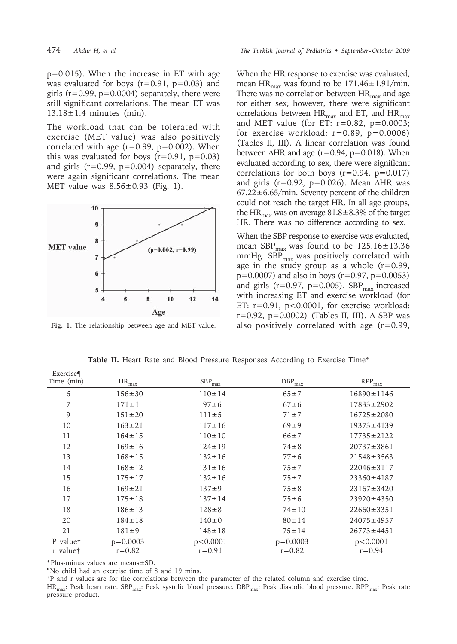p=0.015). When the increase in ET with age was evaluated for boys  $(r=0.91, p=0.03)$  and girls ( $r=0.99$ ,  $p=0.0004$ ) separately, there were still significant correlations. The mean ET was  $13.18 \pm 1.4$  minutes (min).

The workload that can be tolerated with exercise (MET value) was also positively correlated with age  $(r=0.99, p=0.002)$ . When this was evaluated for boys  $(r=0.91, p=0.03)$ and girls  $(r=0.99, p=0.004)$  separately, there were again significant correlations. The mean MET value was  $8.56 \pm 0.93$  (Fig. 1).



**Fig. 1.** The relationship between age and MET value.

When the HR response to exercise was evaluated, mean HR<sub>max</sub> was found to be  $171.46 \pm 1.91/min$ . There was no correlation between  $HR_{\text{max}}$  and age for either sex; however, there were significant correlations between  $HR_{max}$  and ET, and  $HR_{max}$ and MET value (for ET:  $r=0.82$ ,  $p=0.0003$ ; for exercise workload:  $r=0.89$ ,  $p=0.0006$ ) (Tables II, III). A linear correlation was found between  $\Delta$ HR and age (r=0.94, p=0.018). When evaluated according to sex, there were significant correlations for both boys  $(r=0.94, p=0.017)$ and girls (r=0.92, p=0.026). Mean  $\triangle$ HR was  $67.22 \pm 6.65$ /min. Seventy percent of the children could not reach the target HR. In all age groups, the HR<sub>max</sub> was on average  $81.8 \pm 8.3\%$  of the target HR. There was no difference according to sex.

When the SBP response to exercise was evaluated, mean  $SBP_{\text{max}}$  was found to be  $125.16 \pm 13.36$ mmHg.  $SBP_{max}$  was positively correlated with age in the study group as a whole  $(r=0.99)$ ,  $p=0.0007$ ) and also in boys ( $r=0.97$ ,  $p=0.0053$ ) and girls ( $r=0.97$ ,  $p=0.005$ ). SBP<sub>max</sub> increased with increasing ET and exercise workload (for ET: r=0.91, p<0.0001, for exercise workload: r=0.92, p=0.0002) (Tables II, III). ∆ SBP was also positively correlated with age (r=0.99,

| Exercise   |                 |                   |                 |                               |
|------------|-----------------|-------------------|-----------------|-------------------------------|
| Time (min) | $\rm{HR}_{max}$ | ${\rm SBP_{max}}$ | $\rm DBP_{max}$ | $\mathrm{RPP}_{\mathrm{max}}$ |
| 6          | $156 \pm 30$    | $110 \pm 14$      | $65 + 7$        | $16890 \pm 1146$              |
| 7          | $171 \pm 1$     | $97 \pm 6$        | $67 + 6$        | $17833 \pm 2902$              |
| 9          | $151 \pm 20$    | $111 \pm 5$       | $71 \pm 7$      | $16725 \pm 2080$              |
| 10         | $163 \pm 21$    | $117 \pm 16$      | $69+9$          | $19373 \pm 4139$              |
| 11         | $164 \pm 15$    | $110 \pm 10$      | $66+7$          | $17735 \pm 2122$              |
| 12         | $169 \pm 16$    | $124 \pm 19$      | $74\pm8$        | $20737 \pm 3861$              |
| 13         | $168 \pm 15$    | $132 \pm 16$      | $77\pm 6$       | $21548 \pm 3563$              |
| 14         | $168 \pm 12$    | $131 \pm 16$      | $75 + 7$        | $22046 \pm 3117$              |
| 15         | $175 \pm 17$    | $132 \pm 16$      | $75 + 7$        | $23360 \pm 4187$              |
| 16         | $169 \pm 21$    | $137 + 9$         | $75 \pm 8$      | $23167 \pm 3420$              |
| 17         | $175 \pm 18$    | $137 \pm 14$      | $75\pm 6$       | $23920 \pm 4350$              |
| 18         | $186 \pm 13$    | $128 \pm 8$       | $74 \pm 10$     | $22660 \pm 3351$              |
| 20         | $184 \pm 18$    | $140 \pm 0$       | $80 \pm 14$     | $24075 \pm 4957$              |
| 21         | $181 \pm 9$     | $148 \pm 18$      | $75 \pm 14$     | $26773 \pm 4451$              |
| P value†   | $p = 0.0003$    | p < 0.0001        | $p = 0.0003$    | p < 0.0001                    |
| r value†   | $r = 0.82$      | $r = 0.91$        | $r = 0.82$      | $r = 0.94$                    |

**Table II.** Heart Rate and Blood Pressure Responses According to Exercise Time\*

\* Plus-minus values are means±SD.

¶No child had an exercise time of 8 and 19 mins.

†P and r values are for the correlations between the parameter of the related column and exercise time.

HR<sub>max</sub>: Peak heart rate. SBP<sub>max</sub>: Peak systolic blood pressure. DBP<sub>max</sub>: Peak diastolic blood pressure. RPP<sub>max</sub>: Peak rate pressure product.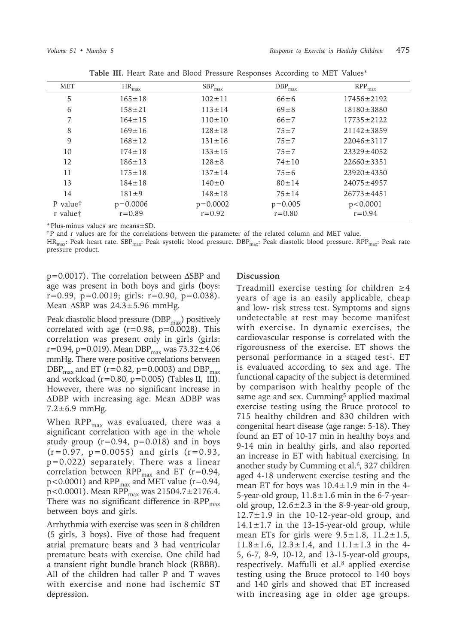| <b>MET</b>           | $HR_{max}$   | $SBP_{max}$  | $DBP_{max}$ | $RPP_{max}$      |
|----------------------|--------------|--------------|-------------|------------------|
| 5                    | $165 \pm 18$ | $102 \pm 11$ | $66 \pm 6$  | $17456 \pm 2192$ |
| 6                    | $158 + 21$   | $113 \pm 14$ | $69 \pm 8$  | $18180 \pm 3880$ |
| 7                    | $164 \pm 15$ | $110 \pm 10$ | $66 \pm 7$  | $17735 \pm 2122$ |
| 8                    | $169 \pm 16$ | $128 \pm 18$ | $75 + 7$    | $21142 \pm 3859$ |
| 9                    | $168 \pm 12$ | $131 \pm 16$ | $75 + 7$    | $22046 \pm 3117$ |
| 10                   | $174 \pm 18$ | $133 \pm 15$ | $75 + 7$    | $23329 \pm 4052$ |
| 12                   | $186 \pm 13$ | $128 \pm 8$  | $74 \pm 10$ | $22660 \pm 3351$ |
| 11                   | $175 \pm 18$ | $137 \pm 14$ | $75 \pm 6$  | $23920 \pm 4350$ |
| 13                   | $184 \pm 18$ | $140 \pm 0$  | $80 \pm 14$ | $24075 \pm 4957$ |
| 14                   | $181 \pm 9$  | $148 \pm 18$ | $75 \pm 14$ | $26773 \pm 4451$ |
| P value <sup>†</sup> | $p = 0.0006$ | $p=0.0002$   | $p=0.005$   | p < 0.0001       |
| r value†             | $r = 0.89$   | $r = 0.92$   | $r = 0.80$  | $r = 0.94$       |

**Table III.** Heart Rate and Blood Pressure Responses According to MET Values\*

\* Plus-minus values are means±SD.

†P and r values are for the correlations between the parameter of the related column and MET value.

HR<sub>max</sub>: Peak heart rate. SBP<sub>max</sub>: Peak systolic blood pressure. DBP<sub>max</sub>: Peak diastolic blood pressure. RPP<sub>max</sub>: Peak rate pressure product.

p=0.0017). The correlation between ∆SBP and age was present in both boys and girls (boys:  $r=0.99$ ,  $p=0.0019$ ; girls:  $r=0.90$ ,  $p=0.038$ ). Mean ∆SBP was 24.3±5.96 mmHg.

Peak diastolic blood pressure ( $DBP_{max}$ ) positively correlated with age  $(r=0.98, p=0.0028)$ . This correlation was present only in girls (girls: r=0.94, p=0.019). Mean DBP $_{max}$  was 73.32 $\pm$ 4.06 mmHg. There were positive correlations between DBP<sub>max</sub> and ET (r=0.82, p=0.0003) and DBP<sub>max</sub> and workload  $(r=0.80, p=0.005)$  (Tables II, III). However, there was no significant increase in ∆DBP with increasing age. Mean ∆DBP was 7.2±6.9 mmHg.

When  $RPP_{\text{max}}$  was evaluated, there was a significant correlation with age in the whole study group  $(r=0.94, p=0.018)$  and in boys  $(r=0.97, p=0.0055)$  and girls  $(r=0.93,$ p=0.022) separately. There was a linear correlation between  $RPP_{\text{max}}$  and ET (r=0.94,  $p$ <0.0001) and RPP $_{max}$  and MET value (r=0.94, p<0.0001). Mean RPP $_{\text{max}}$  was 21504.7±2176.4. There was no significant difference in  $RPP_{\text{max}}$ between boys and girls.

Arrhythmia with exercise was seen in 8 children (5 girls, 3 boys). Five of those had frequent atrial premature beats and 3 had ventricular premature beats with exercise. One child had a transient right bundle branch block (RBBB). All of the children had taller P and T waves with exercise and none had ischemic ST depression.

# **Discussion**

Treadmill exercise testing for children  $\geq 4$ years of age is an easily applicable, cheap and low- risk stress test. Symptoms and signs undetectable at rest may become manifest with exercise. In dynamic exercises, the cardiovascular response is correlated with the rigorousness of the exercise. ET shows the personal performance in a staged test<sup>1</sup>. ET is evaluated according to sex and age. The functional capacity of the subject is determined by comparison with healthy people of the same age and sex. Cumming<sup>5</sup> applied maximal exercise testing using the Bruce protocol to 715 healthy children and 830 children with congenital heart disease (age range: 5-18). They found an ET of 10-17 min in healthy boys and 9-14 min in healthy girls, and also reported an increase in ET with habitual exercising. In another study by Cumming et al.<sup>6</sup>, 327 children aged 4-18 underwent exercise testing and the mean ET for boys was  $10.4 \pm 1.9$  min in the 4-5-year-old group,  $11.8 \pm 1.6$  min in the 6-7-yearold group,  $12.6 \pm 2.3$  in the 8-9-year-old group,  $12.7 \pm 1.9$  in the 10-12-year-old group, and  $14.1 \pm 1.7$  in the 13-15-year-old group, while mean ETs for girls were  $9.5 \pm 1.8$ ,  $11.2 \pm 1.5$ ,  $11.8 \pm 1.6$ ,  $12.3 \pm 1.4$ , and  $11.1 \pm 1.3$  in the 4-5, 6-7, 8-9, 10-12, and 13-15-year-old groups, respectively. Maffulli et al.<sup>8</sup> applied exercise testing using the Bruce protocol to 140 boys and 140 girls and showed that ET increased with increasing age in older age groups.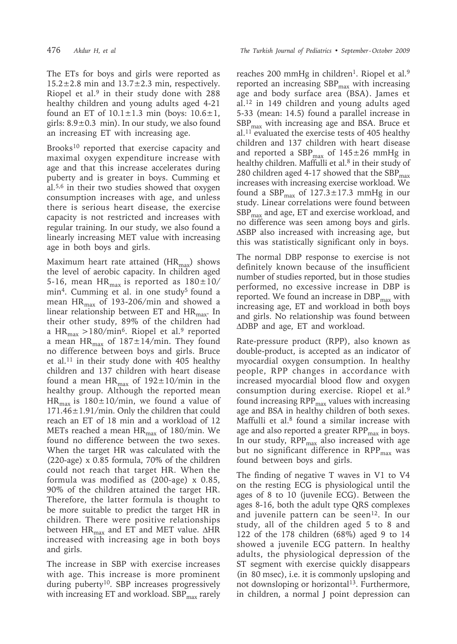476 *Akdur H, et al The Turkish Journal of Pediatrics • September - October 2009*

The ETs for boys and girls were reported as  $15.2 \pm 2.8$  min and  $13.7 \pm 2.3$  min, respectively. Riopel et al.<sup>9</sup> in their study done with 288 healthy children and young adults aged 4-21 found an ET of  $10.1 \pm 1.3$  min (boys:  $10.6 \pm 1$ , girls:  $8.9\pm0.3$  min). In our study, we also found an increasing ET with increasing age.

Brooks<sup>10</sup> reported that exercise capacity and maximal oxygen expenditure increase with age and that this increase accelerates during puberty and is greater in boys. Cumming et al.5,6 in their two studies showed that oxygen consumption increases with age, and unless there is serious heart disease, the exercise capacity is not restricted and increases with regular training. In our study, we also found a linearly increasing MET value with increasing age in both boys and girls.

Maximum heart rate attained  $(HR<sub>max</sub>)$  shows the level of aerobic capacity. In children aged 5-16, mean HR<sub>max</sub> is reported as  $180 \pm 10/$ min<sup>4</sup>. Cumming et al. in one study<sup>5</sup> found a mean  $HR_{max}$  of 193-206/min and showed a linear relationship between ET and  $HR<sub>max</sub>$ . In their other study, 89% of the children had a HR<sub>max</sub> >180/min<sup>6</sup>. Riopel et al.<sup>9</sup> reported a mean  $HR_{max}$  of  $187 \pm 14/min$ . They found no difference between boys and girls. Bruce et al.<sup>11</sup> in their study done with 405 healthy children and 137 children with heart disease found a mean HR<sub>max</sub> of 192 $\pm$ 10/min in the healthy group. Although the reported mean HR<sub>max</sub> is 180 $\pm$ 10/min, we found a value of 171.46±1.91/min. Only the children that could reach an ET of 18 min and a workload of 12 METs reached a mean  $HR_{max}$  of 180/min. We found no difference between the two sexes. When the target HR was calculated with the (220-age) x 0.85 formula, 70% of the children could not reach that target HR. When the formula was modified as (200-age) x 0.85, 90% of the children attained the target HR. Therefore, the latter formula is thought to be more suitable to predict the target HR in children. There were positive relationships between  $HR_{max}$  and ET and MET value. ∆HR increased with increasing age in both boys and girls.

The increase in SBP with exercise increases with age. This increase is more prominent during puberty<sup>10</sup>. SBP increases progressively with increasing ET and workload.  $SBP_{\text{max}}$  rarely

reaches 200 mmHg in children<sup>1</sup>. Riopel et al.<sup>9</sup> reported an increasing  $SBP_{\text{max}}$  with increasing age and body surface area (BSA). James et al.12 in 149 children and young adults aged 5-33 (mean: 14.5) found a parallel increase in  $SBP_{\text{max}}$  with increasing age and BSA. Bruce et al.11 evaluated the exercise tests of 405 healthy children and 137 children with heart disease and reported a  $SBP_{max}$  of  $145\pm26$  mmHg in healthy children. Maffulli et al.<sup>8</sup> in their study of 280 children aged 4-17 showed that the  $SBP<sub>max</sub>$ increases with increasing exercise workload. We found a  $SBP<sub>max</sub>$  of  $127.3 \pm 17.3$  mmHg in our study. Linear correlations were found between  $SBP_{\text{max}}$  and age, ET and exercise workload, and no difference was seen among boys and girls. ∆SBP also increased with increasing age, but this was statistically significant only in boys.

The normal DBP response to exercise is not definitely known because of the insufficient number of studies reported, but in those studies performed, no excessive increase in DBP is reported. We found an increase in  $DBP_{max}$  with increasing age, ET and workload in both boys and girls. No relationship was found between ∆DBP and age, ET and workload.

Rate-pressure product (RPP), also known as double-product, is accepted as an indicator of myocardial oxygen consumption. In healthy people, RPP changes in accordance with increased myocardial blood flow and oxygen consumption during exercise. Riopel et al.9 found increasing  $RPP_{max}$  values with increasing age and BSA in healthy children of both sexes. Maffulli et al.<sup>8</sup> found a similar increase with age and also reported a greater  $\mathrm{RPP}_{\mathrm{max}}$  in boys. In our study, RPP<sub>max</sub> also increased with age but no significant difference in  $RPP_{max}$  was found between boys and girls.

The finding of negative T waves in V1 to V4 on the resting ECG is physiological until the ages of 8 to 10 (juvenile ECG). Between the ages 8-16, both the adult type QRS complexes and juvenile pattern can be seen<sup>12</sup>. In our study, all of the children aged 5 to 8 and 122 of the 178 children (68%) aged 9 to 14 showed a juvenile ECG pattern. In healthy adults, the physiological depression of the ST segment with exercise quickly disappears (in 80 msec), i.e. it is commonly upsloping and not downsloping or horizontal<sup>13</sup>. Furthermore, in children, a normal J point depression can